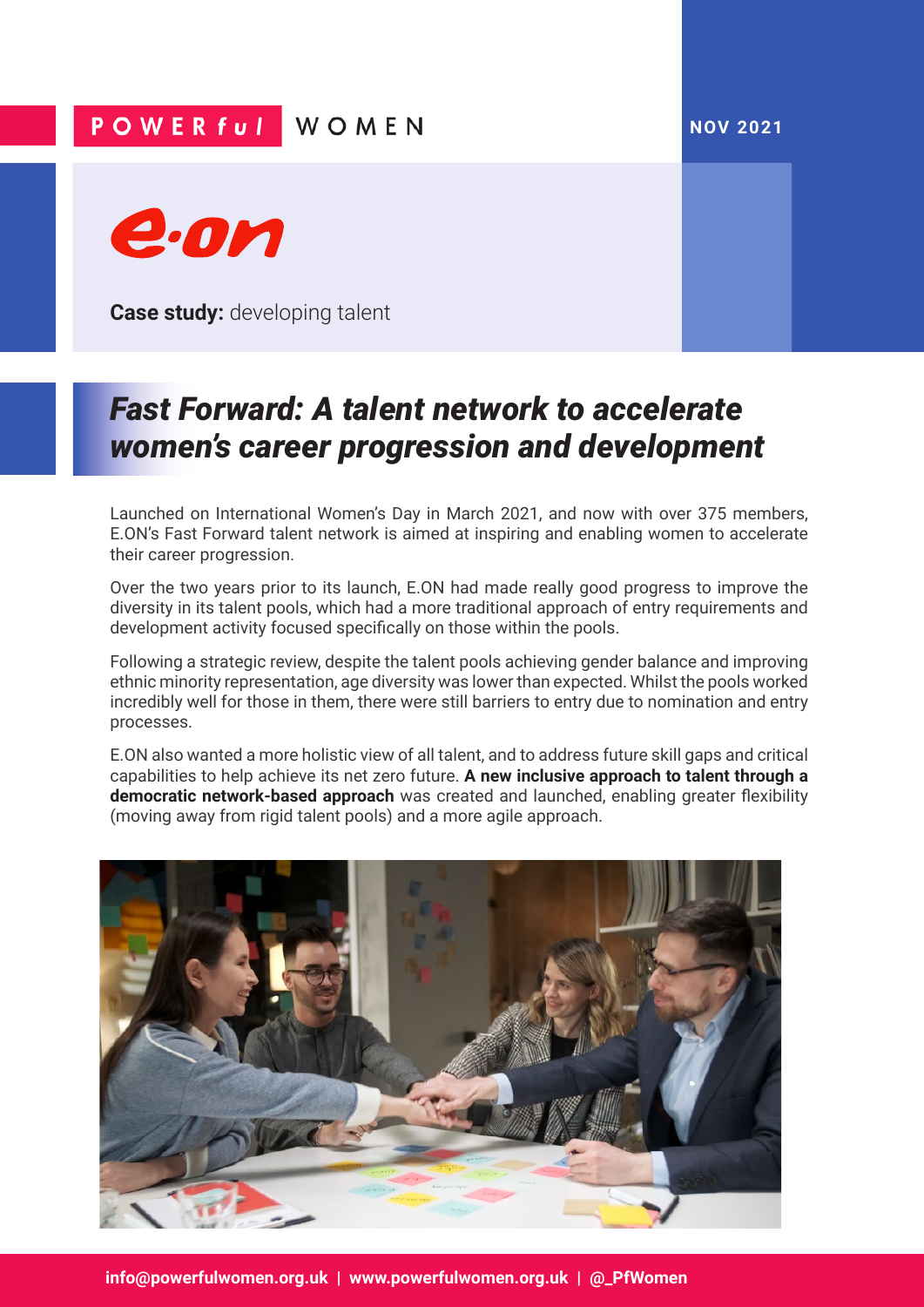## **NOV 2021**

## POWER ful WOMEN



**Case study:** developing talent

## *Fast Forward: A talent network to accelerate women's career progression and development*

Launched on International Women's Day in March 2021, and now with over 375 members, E.ON's Fast Forward talent network is aimed at inspiring and enabling women to accelerate their career progression.

Over the two years prior to its launch, E.ON had made really good progress to improve the diversity in its talent pools, which had a more traditional approach of entry requirements and development activity focused specifically on those within the pools.

Following a strategic review, despite the talent pools achieving gender balance and improving ethnic minority representation, age diversity was lower than expected. Whilst the pools worked incredibly well for those in them, there were still barriers to entry due to nomination and entry processes.

E.ON also wanted a more holistic view of all talent, and to address future skill gaps and critical capabilities to help achieve its net zero future. **A new inclusive approach to talent through a democratic network-based approach** was created and launched, enabling greater flexibility (moving away from rigid talent pools) and a more agile approach.